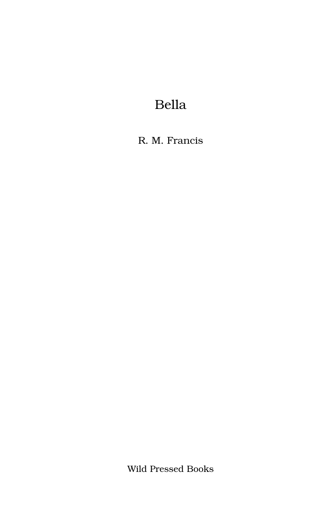### Bella

R. M. Francis

Wild Pressed Books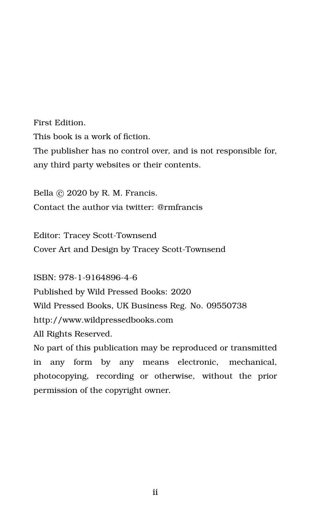First Edition. This book is a work of fiction. The publisher has no control over, and is not responsible for, any third party websites or their contents.

Bella © 2020 by R. M. Francis. Contact the author via twitter: @rmfrancis

Editor: Tracey Scott-Townsend Cover Art and Design by Tracey Scott-Townsend

ISBN: 978-1-9164896-4-6 Published by Wild Pressed Books: 2020 Wild Pressed Books, UK Business Reg. No. 09550738 http://www.wildpressedbooks.com All Rights Reserved. No part of this publication may be reproduced or transmitted in any form by any means electronic, mechanical, photocopying, recording or otherwise, without the prior permission of the copyright owner.

ii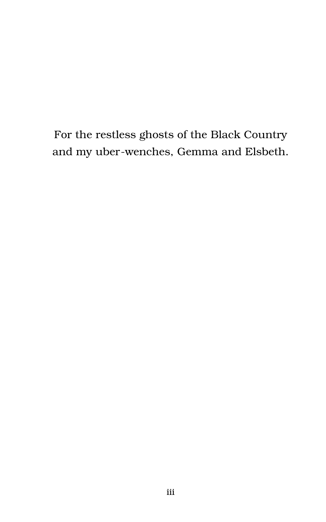For the restless ghosts of the Black Country and my uber-wenches, Gemma and Elsbeth.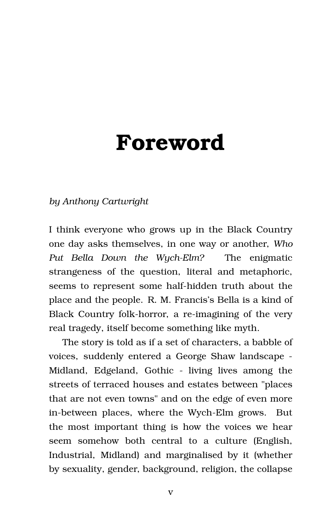# **Foreword**

#### *by Anthony Cartwright*

I think everyone who grows up in the Black Country one day asks themselves, in one way or another, *Who Put Bella Down the Wych-Elm?* The enigmatic strangeness of the question, literal and metaphoric, seems to represent some half-hidden truth about the place and the people. R. M. Francis's Bella is a kind of Black Country folk-horror, a re-imagining of the very real tragedy, itself become something like myth.

The story is told as if a set of characters, a babble of voices, suddenly entered a George Shaw landscape - Midland, Edgeland, Gothic - living lives among the streets of terraced houses and estates between "places that are not even towns" and on the edge of even more in-between places, where the Wych-Elm grows. But the most important thing is how the voices we hear seem somehow both central to a culture (English, Industrial, Midland) and marginalised by it (whether by sexuality, gender, background, religion, the collapse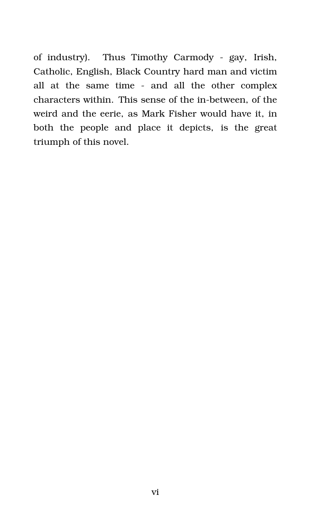of industry). Thus Timothy Carmody - gay, Irish, Catholic, English, Black Country hard man and victim all at the same time - and all the other complex characters within. This sense of the in-between, of the weird and the eerie, as Mark Fisher would have it, in both the people and place it depicts, is the great triumph of this novel.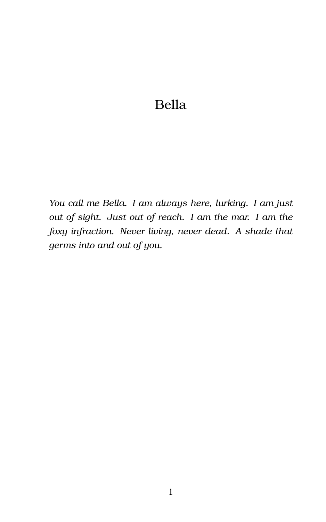### Bella

*You call me Bella. I am always here, lurking. I am just out of sight. Just out of reach. I am the mar. I am the foxy infraction. Never living, never dead. A shade that germs into and out of you.*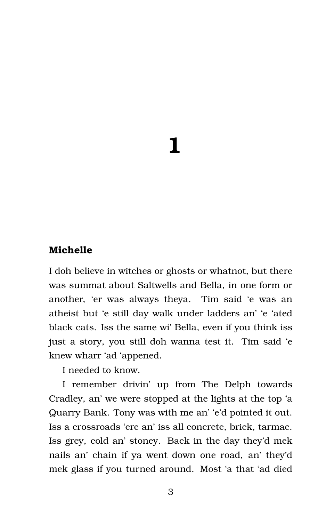**1**

#### **Michelle**

I doh believe in witches or ghosts or whatnot, but there was summat about Saltwells and Bella, in one form or another, 'er was always theya. Tim said 'e was an atheist but 'e still day walk under ladders an' 'e 'ated black cats. Iss the same wi' Bella, even if you think iss just a story, you still doh wanna test it. Tim said 'e knew wharr 'ad 'appened.

I needed to know.

I remember drivin' up from The Delph towards Cradley, an' we were stopped at the lights at the top 'a Quarry Bank. Tony was with me an' 'e'd pointed it out. Iss a crossroads 'ere an' iss all concrete, brick, tarmac. Iss grey, cold an' stoney. Back in the day they'd mek nails an' chain if ya went down one road, an' they'd mek glass if you turned around. Most 'a that 'ad died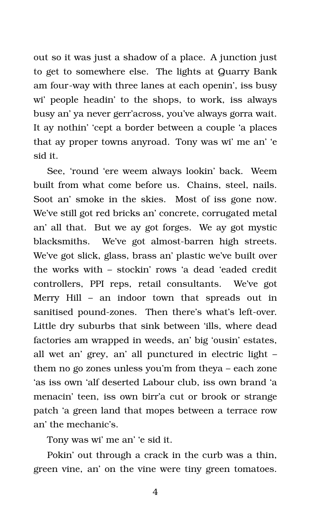out so it was just a shadow of a place. A junction just to get to somewhere else. The lights at Quarry Bank am four-way with three lanes at each openin', iss busy wi' people headin' to the shops, to work, iss always busy an' ya never gerr'across, you've always gorra wait. It ay nothin' 'cept a border between a couple 'a places that ay proper towns anyroad. Tony was wi' me an' 'e sid it.

See, 'round 'ere weem always lookin' back. Weem built from what come before us. Chains, steel, nails. Soot an' smoke in the skies. Most of iss gone now. We've still got red bricks an' concrete, corrugated metal an' all that. But we ay got forges. We ay got mystic blacksmiths. We've got almost-barren high streets. We've got slick, glass, brass an' plastic we've built over the works with – stockin' rows 'a dead 'eaded credit controllers, PPI reps, retail consultants. We've got Merry Hill – an indoor town that spreads out in sanitised pound-zones. Then there's what's left-over. Little dry suburbs that sink between 'ills, where dead factories am wrapped in weeds, an' big 'ousin' estates, all wet an' grey, an' all punctured in electric light – them no go zones unless you'm from theya – each zone 'as iss own 'alf deserted Labour club, iss own brand 'a menacin' teen, iss own birr'a cut or brook or strange patch 'a green land that mopes between a terrace row an' the mechanic's.

Tony was wi' me an' 'e sid it.

Pokin' out through a crack in the curb was a thin, green vine, an' on the vine were tiny green tomatoes.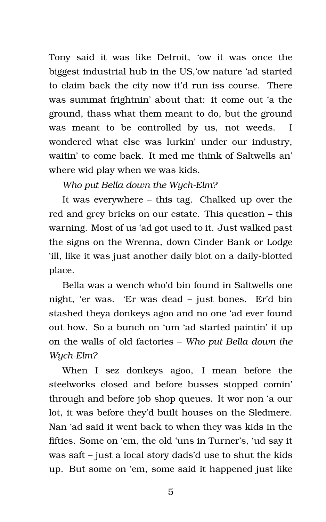Tony said it was like Detroit, 'ow it was once the biggest industrial hub in the US,'ow nature 'ad started to claim back the city now it'd run iss course. There was summat frightnin' about that: it come out 'a the ground, thass what them meant to do, but the ground was meant to be controlled by us, not weeds. I wondered what else was lurkin' under our industry, waitin' to come back. It med me think of Saltwells an' where wid play when we was kids.

*Who put Bella down the Wych-Elm?*

It was everywhere – this tag. Chalked up over the red and grey bricks on our estate. This question – this warning. Most of us 'ad got used to it. Just walked past the signs on the Wrenna, down Cinder Bank or Lodge 'ill, like it was just another daily blot on a daily-blotted place.

Bella was a wench who'd bin found in Saltwells one night, 'er was. 'Er was dead – just bones. Er'd bin stashed theya donkeys agoo and no one 'ad ever found out how. So a bunch on 'um 'ad started paintin' it up on the walls of old factories – *Who put Bella down the Wych-Elm?*

When I sez donkeys agoo, I mean before the steelworks closed and before busses stopped comin' through and before job shop queues. It wor non 'a our lot, it was before they'd built houses on the Sledmere. Nan 'ad said it went back to when they was kids in the fifties. Some on 'em, the old 'uns in Turner's, 'ud say it was saft – just a local story dads'd use to shut the kids up. But some on 'em, some said it happened just like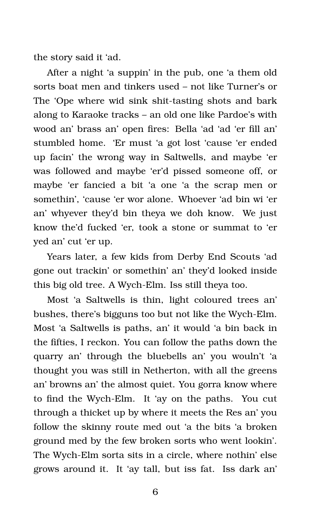the story said it 'ad.

After a night 'a suppin' in the pub, one 'a them old sorts boat men and tinkers used – not like Turner's or The 'Ope where wid sink shit-tasting shots and bark along to Karaoke tracks – an old one like Pardoe's with wood an' brass an' open fires: Bella 'ad 'ad 'er fill an' stumbled home. 'Er must 'a got lost 'cause 'er ended up facin' the wrong way in Saltwells, and maybe 'er was followed and maybe 'er'd pissed someone off, or maybe 'er fancied a bit 'a one 'a the scrap men or somethin', 'cause 'er wor alone. Whoever 'ad bin wi 'er an' whyever they'd bin theya we doh know. We just know the'd fucked 'er, took a stone or summat to 'er yed an' cut 'er up.

Years later, a few kids from Derby End Scouts 'ad gone out trackin' or somethin' an' they'd looked inside this big old tree. A Wych-Elm. Iss still theya too.

Most 'a Saltwells is thin, light coloured trees an' bushes, there's bigguns too but not like the Wych-Elm. Most 'a Saltwells is paths, an' it would 'a bin back in the fifties, I reckon. You can follow the paths down the quarry an' through the bluebells an' you wouln't 'a thought you was still in Netherton, with all the greens an' browns an' the almost quiet. You gorra know where to find the Wych-Elm. It 'ay on the paths. You cut through a thicket up by where it meets the Res an' you follow the skinny route med out 'a the bits 'a broken ground med by the few broken sorts who went lookin'. The Wych-Elm sorta sits in a circle, where nothin' else grows around it. It 'ay tall, but iss fat. Iss dark an'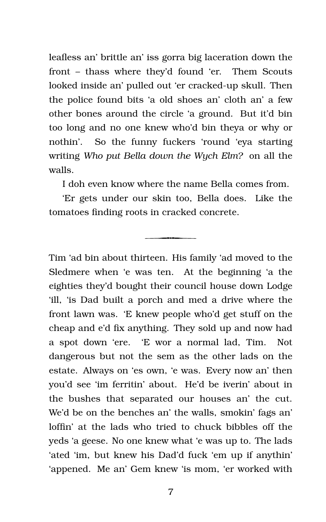leafless an' brittle an' iss gorra big laceration down the front – thass where they'd found 'er. Them Scouts looked inside an' pulled out 'er cracked-up skull. Then the police found bits 'a old shoes an' cloth an' a few other bones around the circle 'a ground. But it'd bin too long and no one knew who'd bin theya or why or nothin'. So the funny fuckers 'round 'eya starting writing *Who put Bella down the Wych Elm?* on all the walls.

I doh even know where the name Bella comes from.

'Er gets under our skin too, Bella does. Like the tomatoes finding roots in cracked concrete.

Tim 'ad bin about thirteen. His family 'ad moved to the Sledmere when 'e was ten. At the beginning 'a the eighties they'd bought their council house down Lodge 'ill, 'is Dad built a porch and med a drive where the front lawn was. 'E knew people who'd get stuff on the cheap and e'd fix anything. They sold up and now had a spot down 'ere. 'E wor a normal lad, Tim. Not dangerous but not the sem as the other lads on the estate. Always on 'es own, 'e was. Every now an' then you'd see 'im ferritin' about. He'd be iverin' about in the bushes that separated our houses an' the cut. We'd be on the benches an' the walls, smokin' fags an' loffin' at the lads who tried to chuck bibbles off the yeds 'a geese. No one knew what 'e was up to. The lads 'ated 'im, but knew his Dad'd fuck 'em up if anythin' 'appened. Me an' Gem knew 'is mom, 'er worked with

7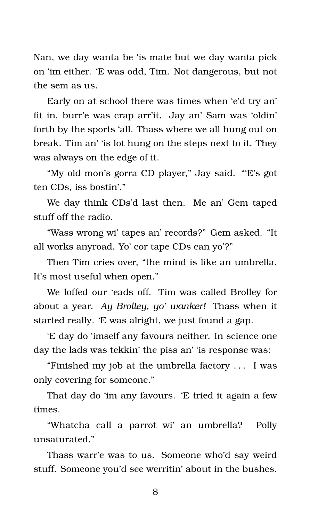Nan, we day wanta be 'is mate but we day wanta pick on 'im either. 'E was odd, Tim. Not dangerous, but not the sem as us.

Early on at school there was times when 'e'd try an' fit in, burr'e was crap arr'it. Jay an' Sam was 'oldin' forth by the sports 'all. Thass where we all hung out on break. Tim an' 'is lot hung on the steps next to it. They was always on the edge of it.

"My old mon's gorra CD player," Jay said. "'E's got ten CDs, iss bostin'."

We day think CDs'd last then. Me an' Gem taped stuff off the radio.

"Wass wrong wi' tapes an' records?" Gem asked. "It all works anyroad. Yo' cor tape CDs can yo'?"

Then Tim cries over, "the mind is like an umbrella. It's most useful when open."

We loffed our 'eads off. Tim was called Brolley for about a year. *Ay Brolley, yo' wanker!* Thass when it started really. 'E was alright, we just found a gap.

'E day do 'imself any favours neither. In science one day the lads was tekkin' the piss an' 'is response was:

"Finished my job at the umbrella factory . . . I was only covering for someone."

That day do 'im any favours. 'E tried it again a few times.

"Whatcha call a parrot wi' an umbrella? Polly unsaturated."

Thass warr'e was to us. Someone who'd say weird stuff. Someone you'd see werritin' about in the bushes.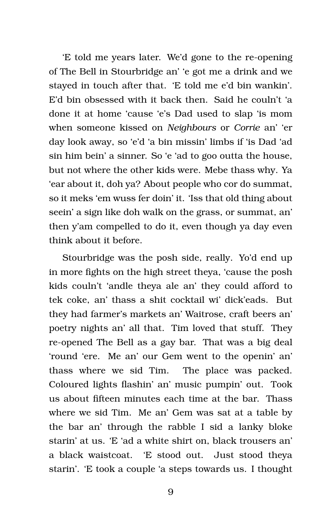'E told me years later. We'd gone to the re-opening of The Bell in Stourbridge an' 'e got me a drink and we stayed in touch after that. 'E told me e'd bin wankin'. E'd bin obsessed with it back then. Said he couln't 'a done it at home 'cause 'e's Dad used to slap 'is mom when someone kissed on *Neighbours* or *Corrie* an' 'er day look away, so 'e'd 'a bin missin' limbs if 'is Dad 'ad sin him bein' a sinner. So 'e 'ad to goo outta the house, but not where the other kids were. Mebe thass why. Ya 'ear about it, doh ya? About people who cor do summat, so it meks 'em wuss fer doin' it. 'Iss that old thing about seein' a sign like doh walk on the grass, or summat, an' then y'am compelled to do it, even though ya day even think about it before.

Stourbridge was the posh side, really. Yo'd end up in more fights on the high street theya, 'cause the posh kids couln't 'andle theya ale an' they could afford to tek coke, an' thass a shit cocktail wi' dick'eads. But they had farmer's markets an' Waitrose, craft beers an' poetry nights an' all that. Tim loved that stuff. They re-opened The Bell as a gay bar. That was a big deal 'round 'ere. Me an' our Gem went to the openin' an' thass where we sid Tim. The place was packed. Coloured lights flashin' an' music pumpin' out. Took us about fifteen minutes each time at the bar. Thass where we sid Tim. Me an' Gem was sat at a table by the bar an' through the rabble I sid a lanky bloke starin' at us. 'E 'ad a white shirt on, black trousers an' a black waistcoat. 'E stood out. Just stood theya starin'. 'E took a couple 'a steps towards us. I thought

9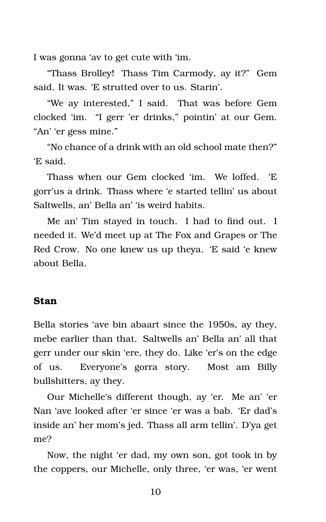I was gonna 'av to get cute with 'im.

"Thass Brolley! Thass Tim Carmody, ay it?" Gem said. It was. 'E strutted over to us. Starin'.

"We ay interested," I said. That was before Gem clocked 'im. "I gerr 'er drinks," pointin' at our Gem. "An' 'er gess mine."

"No chance of a drink with an old school mate then?" 'E said.

Thass when our Gem clocked 'im. We loffed. 'E gorr'us a drink. Thass where 'e started tellin' us about Saltwells, an' Bella an' 'is weird habits.

Me an' Tim stayed in touch. I had to find out. I needed it. We'd meet up at The Fox and Grapes or The Red Crow. No one knew us up theya. 'E said 'e knew about Bella.

#### **Stan**

Bella stories 'ave bin abaart since the 1950s, ay they, mebe earlier than that. Saltwells an' Bella an' all that gerr under our skin 'ere, they do. Like 'er's on the edge of us. Everyone's gorra story. Most am Billy bullshitters, ay they.

Our Michelle's different though, ay 'er. Me an' 'er Nan 'ave looked after 'er since 'er was a bab. 'Er dad's inside an' her mom's jed. Thass all arm tellin'. D'ya get me?

Now, the night 'er dad, my own son, got took in by the coppers, our Michelle, only three, 'er was, 'er went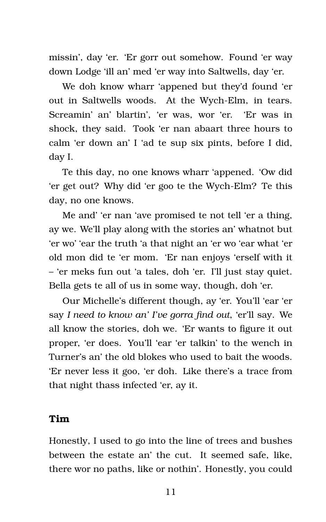missin', day 'er. 'Er gorr out somehow. Found 'er way down Lodge 'ill an' med 'er way into Saltwells, day 'er.

We doh know wharr 'appened but they'd found 'er out in Saltwells woods. At the Wych-Elm, in tears. Screamin' an' blartin', 'er was, wor 'er. 'Er was in shock, they said. Took 'er nan abaart three hours to calm 'er down an' I 'ad te sup six pints, before I did, day I.

Te this day, no one knows wharr 'appened. 'Ow did 'er get out? Why did 'er goo te the Wych-Elm? Te this day, no one knows.

Me and' 'er nan 'ave promised te not tell 'er a thing, ay we. We'll play along with the stories an' whatnot but 'er wo' 'ear the truth 'a that night an 'er wo 'ear what 'er old mon did te 'er mom. 'Er nan enjoys 'erself with it – 'er meks fun out 'a tales, doh 'er. I'll just stay quiet. Bella gets te all of us in some way, though, doh 'er.

Our Michelle's different though, ay 'er. You'll 'ear 'er say *I need to know an' I've gorra find out*, 'er'll say. We all know the stories, doh we. 'Er wants to figure it out proper, 'er does. You'll 'ear 'er talkin' to the wench in Turner's an' the old blokes who used to bait the woods. 'Er never less it goo, 'er doh. Like there's a trace from that night thass infected 'er, ay it.

#### **Tim**

Honestly, I used to go into the line of trees and bushes between the estate an' the cut. It seemed safe, like, there wor no paths, like or nothin'. Honestly, you could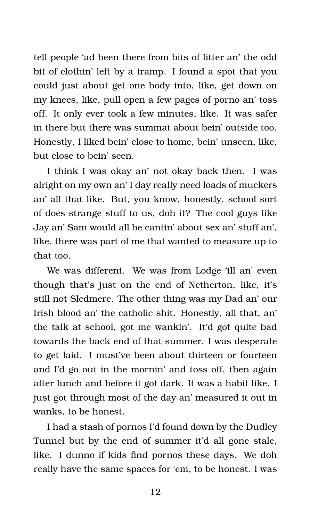tell people 'ad been there from bits of litter an' the odd bit of clothin' left by a tramp. I found a spot that you could just about get one body into, like, get down on my knees, like, pull open a few pages of porno an' toss off. It only ever took a few minutes, like. It was safer in there but there was summat about bein' outside too. Honestly, I liked bein' close to home, bein' unseen, like, but close to bein' seen.

I think I was okay an' not okay back then. I was alright on my own an' I day really need loads of muckers an' all that like. But, you know, honestly, school sort of does strange stuff to us, doh it? The cool guys like Jay an' Sam would all be cantin' about sex an' stuff an', like, there was part of me that wanted to measure up to that too.

We was different. We was from Lodge 'ill an' even though that's just on the end of Netherton, like, it's still not Sledmere. The other thing was my Dad an' our Irish blood an' the catholic shit. Honestly, all that, an' the talk at school, got me wankin'. It'd got quite bad towards the back end of that summer. I was desperate to get laid. I must've been about thirteen or fourteen and I'd go out in the mornin' and toss off, then again after lunch and before it got dark. It was a habit like. I just got through most of the day an' measured it out in wanks, to be honest.

I had a stash of pornos I'd found down by the Dudley Tunnel but by the end of summer it'd all gone stale, like. I dunno if kids find pornos these days. We doh really have the same spaces for 'em, to be honest. I was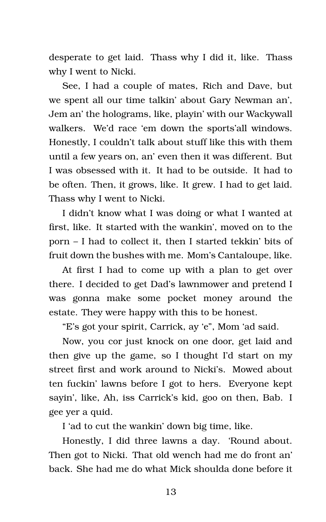desperate to get laid. Thass why I did it, like. Thass why I went to Nicki.

See, I had a couple of mates, Rich and Dave, but we spent all our time talkin' about Gary Newman an', Jem an' the holograms, like, playin' with our Wackywall walkers. We'd race 'em down the sports'all windows. Honestly, I couldn't talk about stuff like this with them until a few years on, an' even then it was different. But I was obsessed with it. It had to be outside. It had to be often. Then, it grows, like. It grew. I had to get laid. Thass why I went to Nicki.

I didn't know what I was doing or what I wanted at first, like. It started with the wankin', moved on to the porn – I had to collect it, then I started tekkin' bits of fruit down the bushes with me. Mom's Cantaloupe, like.

At first I had to come up with a plan to get over there. I decided to get Dad's lawnmower and pretend I was gonna make some pocket money around the estate. They were happy with this to be honest.

"E's got your spirit, Carrick, ay 'e", Mom 'ad said.

Now, you cor just knock on one door, get laid and then give up the game, so I thought I'd start on my street first and work around to Nicki's. Mowed about ten fuckin' lawns before I got to hers. Everyone kept sayin', like, Ah, iss Carrick's kid, goo on then, Bab. I gee yer a quid.

I 'ad to cut the wankin' down big time, like.

Honestly, I did three lawns a day. 'Round about. Then got to Nicki. That old wench had me do front an' back. She had me do what Mick shoulda done before it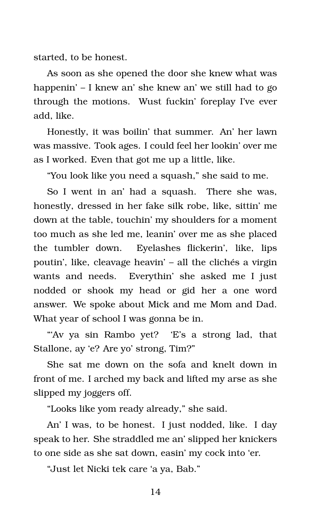started, to be honest.

As soon as she opened the door she knew what was happenin' – I knew an' she knew an' we still had to go through the motions. Wust fuckin' foreplay I've ever add, like.

Honestly, it was boilin' that summer. An' her lawn was massive. Took ages. I could feel her lookin' over me as I worked. Even that got me up a little, like.

"You look like you need a squash," she said to me.

So I went in an' had a squash. There she was, honestly, dressed in her fake silk robe, like, sittin' me down at the table, touchin' my shoulders for a moment too much as she led me, leanin' over me as she placed the tumbler down. Eyelashes flickerin', like, lips poutin', like, cleavage heavin' – all the clichés a virgin wants and needs. Everythin' she asked me I just nodded or shook my head or gid her a one word answer. We spoke about Mick and me Mom and Dad. What year of school I was gonna be in.

"'Av ya sin Rambo yet? 'E's a strong lad, that Stallone, ay 'e? Are yo' strong, Tim?"

She sat me down on the sofa and knelt down in front of me. I arched my back and lifted my arse as she slipped my joggers off.

"Looks like yom ready already," she said.

An' I was, to be honest. I just nodded, like. I day speak to her. She straddled me an' slipped her knickers to one side as she sat down, easin' my cock into 'er.

"Just let Nicki tek care 'a ya, Bab."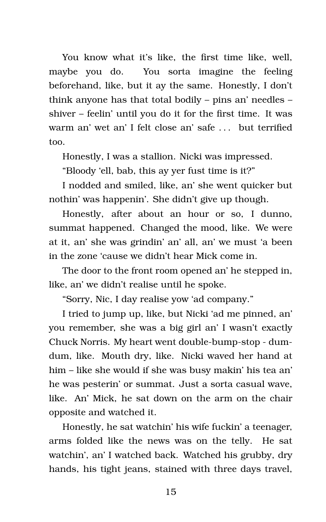You know what it's like, the first time like, well, maybe you do. You sorta imagine the feeling beforehand, like, but it ay the same. Honestly, I don't think anyone has that total bodily – pins an' needles – shiver – feelin' until you do it for the first time. It was warm an' wet an' I felt close an' safe . . . but terrified too.

Honestly, I was a stallion. Nicki was impressed.

"Bloody 'ell, bab, this ay yer fust time is it?"

I nodded and smiled, like, an' she went quicker but nothin' was happenin'. She didn't give up though.

Honestly, after about an hour or so, I dunno, summat happened. Changed the mood, like. We were at it, an' she was grindin' an' all, an' we must 'a been in the zone 'cause we didn't hear Mick come in.

The door to the front room opened an' he stepped in, like, an' we didn't realise until he spoke.

"Sorry, Nic, I day realise yow 'ad company."

I tried to jump up, like, but Nicki 'ad me pinned, an' you remember, she was a big girl an' I wasn't exactly Chuck Norris. My heart went double-bump-stop - dumdum, like. Mouth dry, like. Nicki waved her hand at him – like she would if she was busy makin' his tea an' he was pesterin' or summat. Just a sorta casual wave, like. An' Mick, he sat down on the arm on the chair opposite and watched it.

Honestly, he sat watchin' his wife fuckin' a teenager, arms folded like the news was on the telly. He sat watchin', an' I watched back. Watched his grubby, dry hands, his tight jeans, stained with three days travel,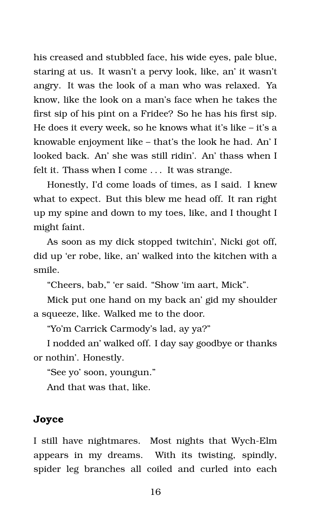his creased and stubbled face, his wide eyes, pale blue, staring at us. It wasn't a pervy look, like, an' it wasn't angry. It was the look of a man who was relaxed. Ya know, like the look on a man's face when he takes the first sip of his pint on a Fridee? So he has his first sip. He does it every week, so he knows what it's like – it's a knowable enjoyment like – that's the look he had. An' I looked back. An' she was still ridin'. An' thass when I felt it. Thass when I come . . . It was strange.

Honestly, I'd come loads of times, as I said. I knew what to expect. But this blew me head off. It ran right up my spine and down to my toes, like, and I thought I might faint.

As soon as my dick stopped twitchin', Nicki got off, did up 'er robe, like, an' walked into the kitchen with a smile.

"Cheers, bab," 'er said. "Show 'im aart, Mick".

Mick put one hand on my back an' gid my shoulder a squeeze, like. Walked me to the door.

"Yo'm Carrick Carmody's lad, ay ya?"

I nodded an' walked off. I day say goodbye or thanks or nothin'. Honestly.

"See yo' soon, youngun."

And that was that, like.

#### **Joyce**

I still have nightmares. Most nights that Wych-Elm appears in my dreams. With its twisting, spindly, spider leg branches all coiled and curled into each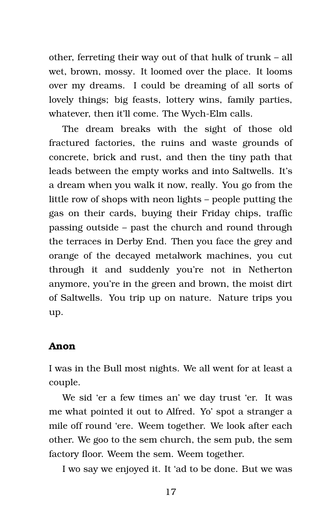other, ferreting their way out of that hulk of trunk – all wet, brown, mossy. It loomed over the place. It looms over my dreams. I could be dreaming of all sorts of lovely things; big feasts, lottery wins, family parties, whatever, then it'll come. The Wych-Elm calls.

The dream breaks with the sight of those old fractured factories, the ruins and waste grounds of concrete, brick and rust, and then the tiny path that leads between the empty works and into Saltwells. It's a dream when you walk it now, really. You go from the little row of shops with neon lights – people putting the gas on their cards, buying their Friday chips, traffic passing outside – past the church and round through the terraces in Derby End. Then you face the grey and orange of the decayed metalwork machines, you cut through it and suddenly you're not in Netherton anymore, you're in the green and brown, the moist dirt of Saltwells. You trip up on nature. Nature trips you up.

#### **Anon**

I was in the Bull most nights. We all went for at least a couple.

We sid 'er a few times an' we day trust 'er. It was me what pointed it out to Alfred. Yo' spot a stranger a mile off round 'ere. Weem together. We look after each other. We goo to the sem church, the sem pub, the sem factory floor. Weem the sem. Weem together.

I wo say we enjoyed it. It 'ad to be done. But we was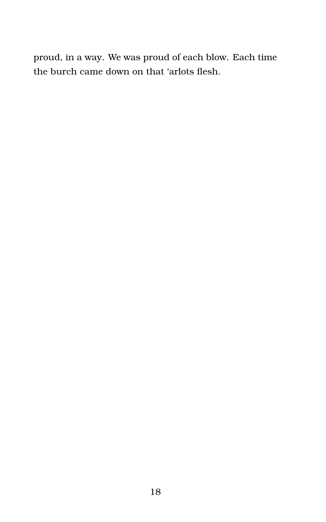proud, in a way. We was proud of each blow. Each time the burch came down on that 'arlots flesh.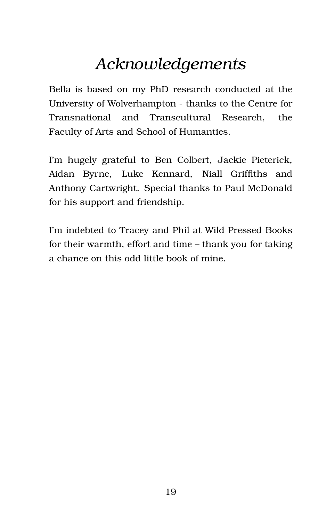## *Acknowledgements*

Bella is based on my PhD research conducted at the University of Wolverhampton - thanks to the Centre for Transnational and Transcultural Research, the Faculty of Arts and School of Humanties.

I'm hugely grateful to Ben Colbert, Jackie Pieterick, Aidan Byrne, Luke Kennard, Niall Griffiths and Anthony Cartwright. Special thanks to Paul McDonald for his support and friendship.

I'm indebted to Tracey and Phil at Wild Pressed Books for their warmth, effort and time – thank you for taking a chance on this odd little book of mine.